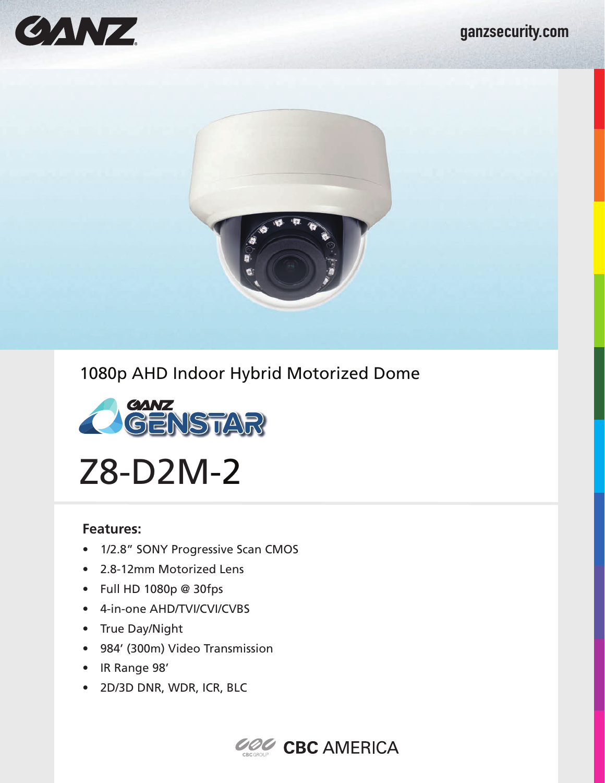

## 1080p AHD Indoor Hybrid Motorized Dome



Z8-D2M-2

## **Features:**

- 1/2.8" SONY Progressive Scan CMOS
- 2.8-12mm Motorized Lens
- Full HD 1080p @ 30fps
- 4-in-one AHD/TVI/CVI/CVBS
- True Day/Night
- 984' (300m) Video Transmission
- IR Range 98'
- 2D/3D DNR, WDR, ICR, BLC